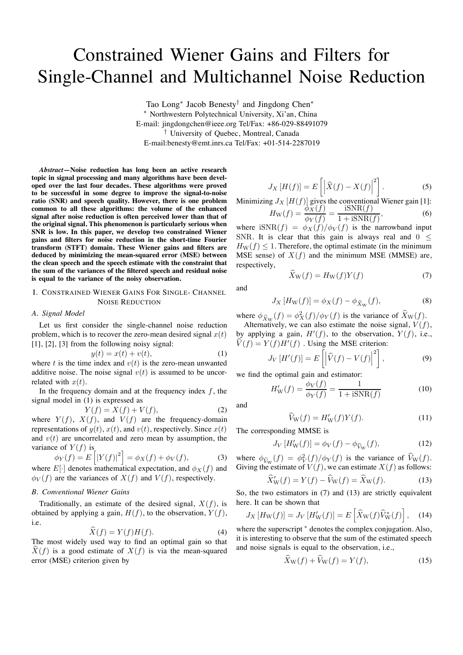# Constrained Wiener Gains and Filters for Single-Channel and Multichannel Noise Reduction

Tao Long<sup>∗</sup> Jacob Benesty<sup>†</sup> and Jingdong Chen<sup>∗</sup> <sup>∗</sup> Northwestern Polytechnical University, Xi'an, China E-mail: jingdongchen@ieee.org Tel/Fax: +86-029-88491079 † University of Quebec, Montreal, Canada E-mail:benesty@emt.inrs.ca Tel/Fax: +01-514-2287019

*Abstract***—Noise reduction has long been an active research topic in signal processing and many algorithms have been developed over the last four decades. These algorithms were proved to be successful in some degree to improve the signal-to-noise ratio (SNR) and speech quality. However, there is one problem common to all these algorithms: the volume of the enhanced signal after noise reduction is often perceived lower than that of the original signal. This phenomenon is particularly serious when SNR is low. In this paper, we develop two constrained Wiener gains and filters for noise reduction in the short-time Fourier transform (STFT) domain. These Wiener gains and filters are deduced by minimizing the mean-squared error (MSE) between the clean speech and the speech estimate with the constraint that the sum of the variances of the filtered speech and residual noise is equal to the variance of the noisy observation.**

# I. CONSTRAINED WIENER GAINS FOR SINGLE- CHANNEL NOISE REDUCTION

#### *A. Signal Model*

Let us first consider the single-channel noise reduction problem, which is to recover the zero-mean desired signal  $x(t)$ [1], [2], [3] from the following noisy signal:

$$
y(t) = x(t) + v(t),\tag{1}
$$

where t is the time index and  $v(t)$  is the zero-mean unwanted additive noise. The noise signal  $v(t)$  is assumed to be uncorrelated with  $x(t)$ .

In the frequency domain and at the frequency index  $f$ , the signal model in (1) is expressed as

$$
Y(f) = X(f) + V(f),\tag{2}
$$

where  $Y(f)$ ,  $X(f)$ , and  $V(f)$  are the frequency-domain representations of  $y(t)$ ,  $x(t)$ , and  $v(t)$ , respectively. Since  $x(t)$ and  $v(t)$  are uncorrelated and zero mean by assumption, the variance of  $Y(f)$  is

$$
Y(f) = E[|Y(f)|^{2}] = \phi_{X}(f) + \phi_{V}(f), \tag{3}
$$

where  $E[\cdot]$  denotes mathematical expectation, and  $\phi_X(f)$  and  $\phi_V(f)$  are the variances of  $X(f)$  and  $V(f)$ , respectively.

## *B. Conventional Wiener Gains*

 $\phi$ 

Traditionally, an estimate of the desired signal,  $X(f)$ , is obtained by applying a gain,  $H(f)$ , to the observation,  $Y(f)$ , i.e.

$$
\hat{X}(f) = Y(f)H(f). \tag{4}
$$

The most widely used way to find an optimal gain so that  $X(f)$  is a good estimate of  $X(f)$  is via the mean-squared error (MSE) criterion given by

$$
J_X[H(f)] = E\left[\left|\widehat{X}(f) - X(f)\right|^2\right].\tag{5}
$$

Minimizing  $J_X[H(f)]$  gives the conventional Wiener gain [1]:  $\phi_X(f)$  $iSNR(f)$ 

$$
H_{\rm W}(f) = \frac{\gamma_{\rm A}(f)}{\phi_{\rm Y}(f)} = \frac{\frac{\gamma_{\rm A}(f)}{1 + \text{iSNR}(f)}},\tag{6}
$$

where  $iSNR(f) = \phi_X(f)/\phi_V(f)$  is the narrowband input SNR. It is clear that this gain is always real and  $0 <$  $H_W(f) \leq 1$ . Therefore, the optimal estimate (in the minimum MSE sense) of  $X(f)$  and the minimum MSE (MMSE) are, respectively,

and

$$
J_X\left[H_W(f)\right] = \phi_X(f) - \phi_{\widehat{X}_W}(f),\tag{8}
$$

 $\widehat{X}_{\text{W}}(f) = H_{\text{W}}(f)Y(f)$  (7)

where  $\phi_{\hat{X}_W}(f) = \phi_X^2(f)/\phi_Y(f)$  is the variance of  $\hat{X}_W(f)$ .

Alternatively, we can also estimate the noise signal,  $V(f)$ , by applying a gain,  $H'(f)$ , to the observation,  $Y(f)$ , i.e.,  $\hat{V}(f) = Y(f)H^{T}(f)$ . Using the MSE criterion:

$$
J_V\left[H'(f)\right] = E\left[\left|\hat{V}(f) - V(f)\right|^2\right],\tag{9}
$$

we find the optimal gain and estimator:

$$
H'_{\rm W}(f) = \frac{\phi_V(f)}{\phi_Y(f)} = \frac{1}{1 + i{\rm SNR}(f)}
$$
(10)

and

$$
\widehat{V}_{\mathcal{W}}(f) = H'_{\mathcal{W}}(f)Y(f). \tag{11}
$$

The corresponding MMSE is

$$
J_V[H'_W(f)] = \phi_V(f) - \phi_{\widehat{V}_W}(f),\tag{12}
$$

where  $\phi_{\widehat{V}_W}(f) = \phi_V^2(f)/\phi_Y(f)$  is the variance of  $\widehat{V}_W(f)$ . Giving the estimate of  $V(f)$ , we can estimate  $X(f)$  as follows:

$$
\widehat{X}'_{\mathbf{W}}(f) = Y(f) - \widehat{V}_{\mathbf{W}}(f) = \widehat{X}_{\mathbf{W}}(f). \tag{13}
$$

So, the two estimators in (7) and (13) are strictly equivalent here. It can be shown that

$$
J_X\left[H_W(f)\right] = J_V\left[H'_W(f)\right] = E\left[\hat{X}_W(f)\hat{V}_W^*(f)\right],\quad(14)
$$

where the superscript  $*$  denotes the complex conjugation. Also, it is interesting to observe that the sum of the estimated speech and noise signals is equal to the observation, i.e.,

$$
\ddot{X}_{\mathbf{W}}(f) + \dot{V}_{\mathbf{W}}(f) = Y(f),\tag{15}
$$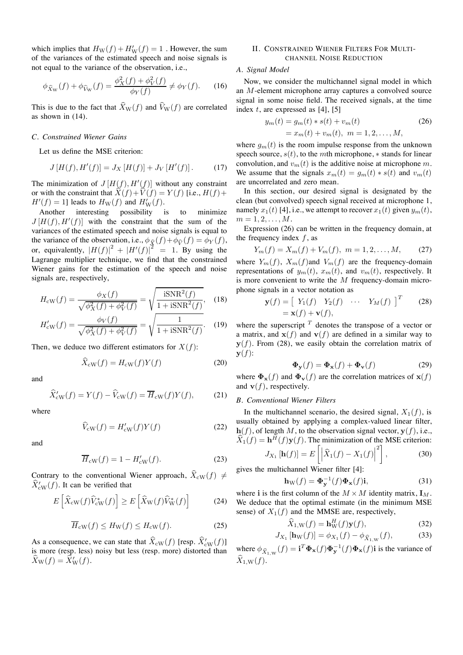which implies that  $H_W(f) + H'_W(f) = 1$ . However, the sum of the variances of the estimated speech and noise signals is not equal to the variance of the observation, i.e.,

$$
\phi_{\widehat{X}_{\mathrm{W}}}(f) + \phi_{\widehat{V}_{\mathrm{W}}}(f) = \frac{\phi_{X}^{2}(f) + \phi_{V}^{2}(f)}{\phi_{Y}(f)} \neq \phi_{Y}(f). \tag{16}
$$

This is due to the fact that  $\widehat{X}_{W}(f)$  and  $\widehat{V}_{W}(f)$  are correlated as shown in (14).

#### *C. Constrained Wiener Gains*

Let us define the MSE criterion:

$$
J[H(f),H'(f)] = J_X[H(f)] + J_V[H'(f)].
$$
 (17)

The minimization of  $J[H(f), H'(f)]$  without any constraint or with the constraint that  $\widehat{X}(f) + \widehat{V}(f) = Y(f)$  [i.e.,  $H(f)$ +  $H'(f) = 1$ ] leads to  $H_{\text{W}}(f)$  and  $H_{\text{W}}'(f)$ .

Another interesting possibility is to minimize  $J[H(f),H'(f)]$  with the constraint that the sum of the variances of the estimated speech and noise signals is equal to the variance of the observation, i.e.,  $\phi_{\hat{X}}(f) + \phi_{\hat{V}}(f) = \phi_Y(f)$ , or, equivalently,  $|H(f)|^2 + |H'(f)|^2 = 1$ . By using the Lagrange multiplier technique, we find that the constrained Wiener gains for the estimation of the speech and noise signals are, respectively,

$$
H_{\rm ew}(f) = \frac{\phi_X(f)}{\sqrt{\phi_X^2(f) + \phi_V^2(f)}} = \sqrt{\frac{\text{iSNR}^2(f)}{1 + \text{iSNR}^2(f)}},\quad(18)
$$

$$
H'_{\text{cw}}(f) = \frac{\phi_V(f)}{\sqrt{\phi_X^2(f) + \phi_V^2(f)}} = \sqrt{\frac{1}{1 + \text{iSNR}^2(f)}}. \quad (19)
$$

Then, we deduce two different estimators for  $X(f)$ :

$$
\widehat{X}_{\text{cw}}(f) = H_{\text{cw}}(f)Y(f) \tag{20}
$$

and

$$
\widehat{X}'_{\text{cw}}(f) = Y(f) - \widehat{V}_{\text{cw}}(f) = \overline{H}_{\text{cw}}(f)Y(f),\tag{21}
$$

where

$$
\widehat{V}_{\text{cw}}(f) = H'_{\text{cw}}(f)Y(f) \tag{22}
$$

and

$$
\overline{H}_{\rm cW}(f) = 1 - H'_{\rm cW}(f). \tag{23}
$$

Contrary to the conventional Wiener approach,  $\hat{X}_{\text{cW}}(f) \neq$  $\widehat{X}'_{\text{cW}}(f)$ . It can be verified that

$$
E\left[\widehat{X}_{\text{cW}}(f)\widehat{V}_{\text{cW}}^*(f)\right] \ge E\left[\widehat{X}_{\text{W}}(f)\widehat{V}_{\text{W}}^*(f)\right] \tag{24}
$$

$$
\overline{H}_{\rm cW}(f) \le H_{\rm W}(f) \le H_{\rm cW}(f). \tag{25}
$$

As a consequence, we can state that  $\widehat{X}_{\text{cw}}(f)$  [resp.  $\widehat{X}'_{\text{cw}}(f)$ ] is more (resp. less) noisy but less (resp. more) distorted than  $\widehat{X}_{\text{W}}(f) = \widehat{X}'_{\text{W}}(f).$ 

## II. CONSTRAINED WIENER FILTERS FOR MULTI-CHANNEL NOISE REDUCTION

#### *A. Signal Model*

Now, we consider the multichannel signal model in which an M-element microphone array captures a convolved source signal in some noise field. The received signals, at the time index  $t$ , are expressed as [4], [5]

$$
y_m(t) = g_m(t) * s(t) + v_m(t)
$$
  
=  $x_m(t) + v_m(t), \ m = 1, 2, ..., M,$  (26)

where  $g_m(t)$  is the room impulse response from the unknown speech source,  $s(t)$ , to the mth microphone,  $*$  stands for linear convolution, and  $v_m(t)$  is the additive noise at microphone m. We assume that the signals  $x_m(t) = g_m(t) * s(t)$  and  $v_m(t)$ are uncorrelated and zero mean.

In this section, our desired signal is designated by the clean (but convolved) speech signal received at microphone 1, namely  $x_1(t)$  [4], i.e., we attempt to recover  $x_1(t)$  given  $y_m(t)$ ,  $m = 1, 2, \ldots, M$ .

Expression (26) can be written in the frequency domain, at the frequency index  $f$ , as

$$
Y_m(f) = X_m(f) + V_m(f), \ m = 1, 2, \dots, M,
$$
 (27)

where  $Y_m(f)$ ,  $X_m(f)$  and  $V_m(f)$  are the frequency-domain representations of  $y_m(t)$ ,  $x_m(t)$ , and  $v_m(t)$ , respectively. It is more convenient to write the  $M$  frequency-domain microphone signals in a vector notation as

$$
\mathbf{y}(f) = \begin{bmatrix} Y_1(f) & Y_2(f) & \cdots & Y_M(f) \end{bmatrix}^T \qquad (28)
$$

$$
= \mathbf{x}(f) + \mathbf{v}(f),
$$

where the superscript  $T$  denotes the transpose of a vector or a matrix, and  $\mathbf{x}(f)$  and  $\mathbf{v}(f)$  are defined in a similar way to  $y(f)$ . From (28), we easily obtain the correlation matrix of  $\mathbf{y}(f)$ :

$$
\mathbf{\Phi}_{\mathbf{y}}(f) = \mathbf{\Phi}_{\mathbf{x}}(f) + \mathbf{\Phi}_{\mathbf{v}}(f) \tag{29}
$$

where  $\Phi_{\mathbf{x}}(f)$  and  $\Phi_{\mathbf{v}}(f)$  are the correlation matrices of  $\mathbf{x}(f)$ and  $\mathbf{v}(f)$ , respectively.

#### *B. Conventional Wiener Filters*

In the multichannel scenario, the desired signal,  $X_1(f)$ , is usually obtained by applying a complex-valued linear filter,  $h(f)$ , of length M, to the observation signal vector,  $y(f)$ , i.e.,  $\widehat{X}_1(f) = \mathbf{h}^H(f)\mathbf{y}(f)$ . The minimization of the MSE criterion:

$$
J_{X_1}[\mathbf{h}(f)] = E\left[\left|\widehat{X}_1(f) - X_1(f)\right|^2\right],\tag{30}
$$

gives the multichannel Wiener filter [4]:

$$
\mathbf{h}_{\mathbf{W}}(f) = \mathbf{\Phi}_{\mathbf{y}}^{-1}(f)\mathbf{\Phi}_{\mathbf{x}}(f)\mathbf{i},\tag{31}
$$

where i is the first column of the  $M \times M$  identity matrix,  $I_M$ . We deduce that the optimal estimate (in the minimum MSE sense) of  $X_1(f)$  and the MMSE are, respectively,

$$
\widehat{X}_{1,\mathrm{W}}(f) = \mathbf{h}_{\mathrm{W}}^{H}(f)\mathbf{y}(f),\tag{32}
$$

$$
J_{X_1}[\mathbf{h}_{W}(f)] = \phi_{X_1}(f) - \phi_{\widehat{X}_{1,W}}(f), \tag{33}
$$

where  $\phi_{\hat{X}_{1,\text{W}}}(f) = \mathbf{i}^T \mathbf{\Phi}_{\mathbf{x}}(f) \mathbf{\Phi}_{\mathbf{y}}^{-1}(f) \mathbf{\Phi}_{\mathbf{x}}(f) \mathbf{i}$  is the variance of  $\widehat{X}_{1,\mathrm{W}}(f).$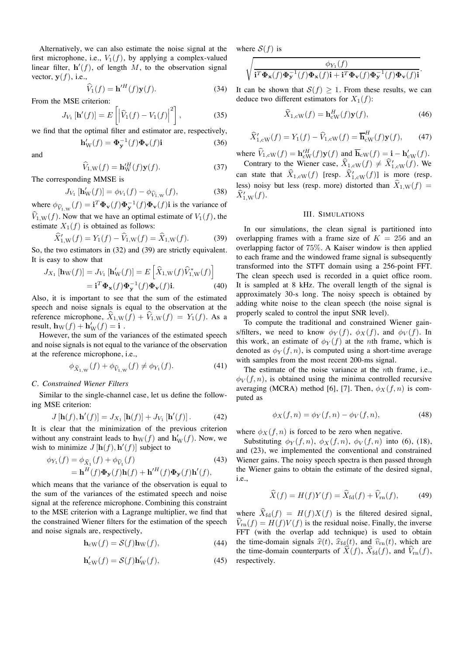Alternatively, we can also estimate the noise signal at the first microphone, i.e.,  $V_1(f)$ , by applying a complex-valued linear filter,  $h'(f)$ , of length M, to the observation signal vector,  $y(f)$ , i.e.,

$$
\widehat{V}_1(f) = \mathbf{h}'^H(f)\mathbf{y}(f). \tag{34}
$$

From the MSE criterion:

$$
J_{V_1}[\mathbf{h}'(f)] = E\left[ \left| \hat{V}_1(f) - V_1(f) \right|^2 \right],
$$
 (35)

we find that the optimal filter and estimator are, respectively,

$$
\mathbf{h}'_{\mathbf{W}}(f) = \mathbf{\Phi}_{\mathbf{y}}^{-1}(f)\mathbf{\Phi}_{\mathbf{v}}(f)\mathbf{i}
$$
 (36)

and

$$
\widehat{V}_{1,\mathrm{W}}(f) = \mathbf{h}_{\mathrm{W}}^{\prime H}(f)\mathbf{y}(f). \tag{37}
$$

The corresponding MMSE is

$$
J_{V_1} [\mathbf{h}'_{W}(f)] = \phi_{V_1}(f) - \phi_{\widehat{V}_{1,W}}(f), \tag{38}
$$

where  $\phi_{\widehat{V}_{1,\mathrm{W}}}(f) = \mathbf{i}^T \mathbf{\Phi}_{\mathbf{v}}(f) \mathbf{\Phi}_{\mathbf{y}}(f) \mathbf{\Phi}_{\mathbf{v}}(f) \mathbf{i}$  is the variance of  $\widehat{V}_{1,\mathrm{W}}(f)$ . Now that we have an optimal estimate of  $V_1(f)$ , the estimate  $X_1(f)$  is obtained as follows:

$$
\widehat{X}'_{1,\mathbf{W}}(f) = Y_1(f) - \widehat{V}_{1,\mathbf{W}}(f) = \widehat{X}_{1,\mathbf{W}}(f). \tag{39}
$$

So, the two estimators in (32) and (39) are strictly equivalent. It is easy to show that

$$
J_{X_1}[\mathbf{h}_{\mathbf{W}}(f)] = J_{V_1}[\mathbf{h}_{\mathbf{W}}'(f)] = E\left[\widehat{X}_{1,\mathbf{W}}(f)\widehat{V}_{1,\mathbf{W}}^*(f)\right]
$$

$$
= \mathbf{i}^T \mathbf{\Phi}_{\mathbf{x}}(f) \mathbf{\Phi}_{\mathbf{y}}^{-1}(f) \mathbf{\Phi}_{\mathbf{v}}(f) \mathbf{i}.\tag{40}
$$

Also, it is important to see that the sum of the estimated speech and noise signals is equal to the observation at the reference microphone,  $\hat{X}_{1,\text{W}}(f) + \hat{V}_{1,\text{W}}(f) = Y_1(f)$ . As a result,  $\mathbf{h}_\mathrm{W}(f) + \mathbf{h}'_\mathrm{W}(f) = \mathbf{i}$ .

However, the sum of the variances of the estimated speech and noise signals is not equal to the variance of the observation at the reference microphone, i.e.,

$$
\phi_{\widehat{X}_{1,\mathbf{W}}}(f) + \phi_{\widehat{V}_{1,\mathbf{W}}}(f) \neq \phi_{Y_1}(f). \tag{41}
$$

#### *C. Constrained Wiener Filters*

Similar to the single-channel case, let us define the following MSE criterion:

$$
J[\mathbf{h}(f), \mathbf{h}'(f)] = J_{X_1}[\mathbf{h}(f)] + J_{V_1}[\mathbf{h}'(f)].
$$
 (42)

It is clear that the minimization of the previous criterion without any constraint leads to  $\mathbf{h}_W(f)$  and  $\mathbf{h}'_W(f)$ . Now, we wish to minimize  $J[\mathbf{h}(f), \mathbf{h}'(f)]$  subject to

$$
\phi_{Y_1}(f) = \phi_{\widehat{X}_1}(f) + \phi_{\widehat{V}_1}(f)
$$
\n
$$
= \mathbf{h}^H(f)\mathbf{\Phi}_\mathbf{y}(f)\mathbf{h}(f) + \mathbf{h}'^H(f)\mathbf{\Phi}_\mathbf{y}(f)\mathbf{h}'(f),
$$
\n(43)

which means that the variance of the observation is equal to the sum of the variances of the estimated speech and noise signal at the reference microphone. Combining this constraint to the MSE criterion with a Lagrange multiplier, we find that the constrained Wiener filters for the estimation of the speech and noise signals are, respectively,

$$
\mathbf{h}_{\rm cW}(f) = \mathcal{S}(f)\mathbf{h}_{\rm W}(f),\tag{44}
$$

$$
\mathbf{h}_{\text{cw}}'(f) = \mathcal{S}(f)\mathbf{h}_{\text{W}}'(f),\tag{45}
$$

where  $S(f)$  is

$$
\sqrt{\frac{\phi_{Y_1}(f)}{\mathbf{i}^T\boldsymbol{\Phi}_\mathbf{x}(f)\boldsymbol{\Phi}_\mathbf{y}^{-1}(f)\boldsymbol{\Phi}_\mathbf{x}(f)\mathbf{i}+\mathbf{i}^T\boldsymbol{\Phi}_\mathbf{v}(f)\boldsymbol{\Phi}_\mathbf{y}^{-1}(f)\boldsymbol{\Phi}_\mathbf{v}(f)\mathbf{i}}.
$$

It can be shown that  $S(f) \geq 1$ . From these results, we can deduce two different estimators for  $X_1(f)$ :

$$
\widehat{X}_{1,\text{cw}}(f) = \mathbf{h}_{\text{cw}}^H(f)\mathbf{y}(f),\tag{46}
$$

$$
\widehat{X}_{1,\text{cW}}'(f) = Y_1(f) - \widehat{V}_{1,\text{cW}}(f) = \overline{\mathbf{h}}_{\text{cW}}^H(f)\mathbf{y}(f),\qquad(47)
$$

where  $\widehat{V}_{1,\text{cw}}(f) = \mathbf{h}_{\text{cw}}^H(f)\mathbf{y}(f)$  and  $\overline{\mathbf{h}}_{\text{cw}}(f) = \mathbf{i} - \mathbf{h}_{\text{cw}}^{\prime}(f)$ . Contrary to the Wiener case,  $\widehat{X}_{1,\text{cW}}(f) \neq \widehat{X}'_{1,\text{cW}}(f)$ . We can state that  $\widehat{X}_{1,\text{cw}}(f)$  [resp.  $\widehat{X}'_{1,\text{cw}}(f)$ ] is more (resp. less) noisy but less (resp. more) distorted than  $\hat{X}_{1,\text{W}}(f) =$  $\widehat{X}'_{1,\mathrm{W}}(f).$ 

## III. SIMULATIONS

In our simulations, the clean signal is partitioned into overlapping frames with a frame size of  $K = 256$  and an overlapping factor of 75%. A Kaiser window is then applied to each frame and the windowed frame signal is subsequently transformed into the STFT domain using a 256-point FFT. The clean speech used is recorded in a quiet office room. It is sampled at 8 kHz. The overall length of the signal is approximately 30-s long. The noisy speech is obtained by adding white noise to the clean speech (the noise signal is properly scaled to control the input SNR level).

To compute the traditional and constrained Wiener gains/filters, we need to know  $\phi_Y(f)$ ,  $\phi_X(f)$ , and  $\phi_V(f)$ . In this work, an estimate of  $\phi_Y(f)$  at the *n*th frame, which is denoted as  $\phi_Y(f,n)$ , is computed using a short-time average with samples from the most recent 200-ms signal.

The estimate of the noise variance at the  $nth$  frame, i.e.,  $\phi_V(f,n)$ , is obtained using the minima controlled recursive averaging (MCRA) method [6], [7]. Then,  $\phi_X(f, n)$  is computed as

$$
\phi_X(f, n) = \phi_Y(f, n) - \phi_V(f, n),\tag{48}
$$

where  $\phi_X(f,n)$  is forced to be zero when negative.

Substituting  $\phi_Y(f,n)$ ,  $\phi_X(f,n)$ ,  $\phi_V(f,n)$  into (6), (18), and (23), we implemented the conventional and constrained Wiener gains. The noisy speech spectra is then passed through the Wiener gains to obtain the estimate of the desired signal, i.e.,

$$
\widehat{X}(f) = H(f)Y(f) = \widehat{X}_{\text{fd}}(f) + \widehat{V}_{\text{rn}}(f),\tag{49}
$$

where  $\widehat{X}_{\text{fd}}(f) = H(f)X(f)$  is the filtered desired signal,  $\widehat{V}_{\rm rn}(f) = H(f)V(f)$  is the residual noise. Finally, the inverse FFT (with the overlap add technique) is used to obtain the time-domain signals  $\hat{x}(t)$ ,  $\hat{x}_{fd}(t)$ , and  $\hat{v}_{rn}(t)$ , which are the time-domain counterparts of  $\hat{X}(f)$ ,  $\hat{X}_{\text{fd}}(f)$ , and  $\hat{V}_{\text{rn}}(f)$ , respectively.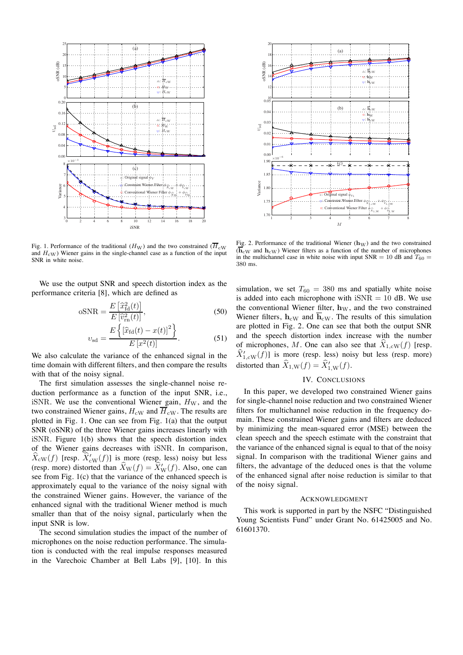

20 (a) 18  $\widehat{\mathbf{H}}$ oSNR (dB) 16  $\sim \overrightarrow{\mathbf{h}}_{\rm{ew}}$ **SNR** 14 ◦: h<sup>W</sup>  $\overline{\mathbf{h}}_{\text{cW}}$ 12 10 0.05 (b)  $\overrightarrow{\mathbf{h}}_{cW}$ 0.04 ◦: h<sup>W</sup>  $\nabla: \mathbf{h}_{\text{cW}}$ 0.03 υsd 0.02 0.01 0.00  $\times10^{-6}$ 1.90 (c) 1.85 Variance 1.80  $\times$ : Original signal  $\phi_{Y_1}$ 1.75  $\frac{1}{\sqrt{2}}$ : Constraint Wiener Filter  $\phi_{\widehat{X}_{1,\mathrm{cW}}}$  $+$   $\phi$  $\frac{V_{1,\text{eW}}}{4}$ **•**: Conventional Wiener Filter  $\phi_{\widehat{X}_{1,\mathrm{W}}}$  $+$   $\phi$  $\frac{V_1}{\cdot}$  W  $\frac{1}{1}$   $\frac{1}{2}$   $\frac{1}{3}$   $\frac{1}{4}$   $\frac{1}{5}$   $\frac{1}{6}$   $\frac{1}{7}$   $\frac{1}{8}$ M

Fig. 1. Performance of the traditional  $(H_W)$  and the two constrained  $(\overline{H}_{\rm CW})$ and  $H_{\rm cW}$ ) Wiener gains in the single-channel case as a function of the input SNR in white noise.

We use the output SNR and speech distortion index as the performance criteria [8], which are defined as

$$
oSNR = \frac{E\left[\hat{x}_{\text{fd}}^2(t)\right]}{E\left[\hat{v}_{\text{rn}}^2(t)\right]},\tag{50}
$$

$$
v_{\rm sd} = \frac{E\left\{ \left[ \hat{x}_{\rm fd}(t) - x(t) \right]^2 \right\}}{E\left[ x^2(t) \right]}.
$$
 (51)

We also calculate the variance of the enhanced signal in the time domain with different filters, and then compare the results with that of the noisy signal.

The first simulation assesses the single-channel noise reduction performance as a function of the input SNR, i.e., iSNR. We use the conventional Wiener gain,  $H_W$ , and the two constrained Wiener gains,  $H_{\rm{cW}}$  and  $\overline{H}_{\rm{cW}}$ . The results are plotted in Fig. 1. One can see from Fig. 1(a) that the output SNR (oSNR) of the three Wiener gains increases linearly with iSNR. Figure 1(b) shows that the speech distortion index of the Wiener gains decreases with iSNR. In comparison,  $\widehat{X}_{\rm cw}(f)$  [resp.  $\widehat{X}_{\rm cw}'(f)$ ] is more (resp. less) noisy but less (resp. more) distorted than  $\widehat{X}_{W}(f) = \widehat{X}_{W}'(f)$ . Also, one can see from Fig. 1(c) that the variance of the enhanced speech is approximately equal to the variance of the noisy signal with the constrained Wiener gains. However, the variance of the enhanced signal with the traditional Wiener method is much smaller than that of the noisy signal, particularly when the input SNR is low.

The second simulation studies the impact of the number of microphones on the noise reduction performance. The simulation is conducted with the real impulse responses measured in the Varechoic Chamber at Bell Labs [9], [10]. In this

Fig. 2. Performance of the traditional Wiener  $(h_W)$  and the two constrained  $(\overline{\mathbf{h}}_{\rm cW})$  and  $\mathbf{h}_{\rm cW})$  Wiener filters as a function of the number of microphones in the multichannel case in white noise with input  $SNR = 10$  dB and  $T_{60} =$ 380 ms.

simulation, we set  $T_{60} = 380$  ms and spatially white noise is added into each microphone with  $iSNR = 10$  dB. We use the conventional Wiener filter,  $h_W$ , and the two constrained Wiener filters,  $h_{\rm cw}$  and  $\overline{h}_{\rm cw}$ . The results of this simulation are plotted in Fig. 2. One can see that both the output SNR and the speech distortion index increase with the number of microphones, M. One can also see that  $X_{1,\text{cW}}(f)$  [resp.  $\widehat{X}'_{1, \text{cw}}(f)$ ] is more (resp. less) noisy but less (resp. more) distorted than  $\widehat{X}_{1,\mathrm{W}}(f) = \widehat{X}'_{1,\mathrm{W}}(f)$ .

# IV. CONCLUSIONS

In this paper, we developed two constrained Wiener gains for single-channel noise reduction and two constrained Wiener filters for multichannel noise reduction in the frequency domain. These constrained Wiener gains and filters are deduced by minimizing the mean-squared error (MSE) between the clean speech and the speech estimate with the constraint that the variance of the enhanced signal is equal to that of the noisy signal. In comparison with the traditional Wiener gains and filters, the advantage of the deduced ones is that the volume of the enhanced signal after noise reduction is similar to that of the noisy signal.

#### ACKNOWLEDGMENT

This work is supported in part by the NSFC "Distinguished Young Scientists Fund" under Grant No. 61425005 and No. 61601370.